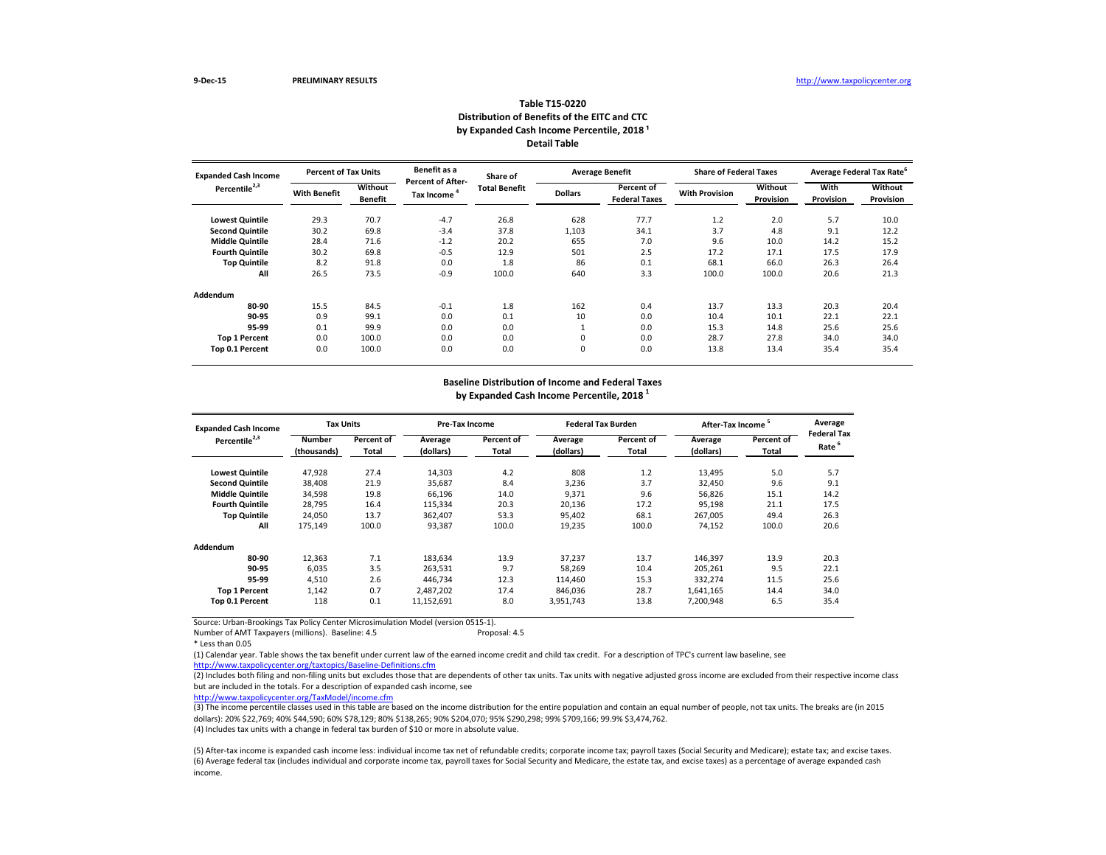| <b>Expanded Cash Income</b> | <b>Percent of Tax Units</b> |                           | Benefit as a                                  | Share of             |                | <b>Average Benefit</b>                    | <b>Share of Federal Taxes</b> |                             |                   | <b>Average Federal Tax Rate<sup>6</sup></b> |
|-----------------------------|-----------------------------|---------------------------|-----------------------------------------------|----------------------|----------------|-------------------------------------------|-------------------------------|-----------------------------|-------------------|---------------------------------------------|
| Percentile <sup>2,3</sup>   | <b>With Benefit</b>         | Without<br><b>Benefit</b> | <b>Percent of After-</b><br><b>Tax Income</b> | <b>Total Benefit</b> | <b>Dollars</b> | <b>Percent of</b><br><b>Federal Taxes</b> | <b>With Provision</b>         | <b>Without</b><br>Provision | With<br>Provision | <b>Without</b><br>Provision                 |
| <b>Lowest Quintile</b>      | 29.3                        | 70.7                      | $-4.7$                                        | 26.8                 | 628            | 77.7                                      | 1.2                           | 2.0                         | 5.7               | 10.0                                        |
| <b>Second Quintile</b>      | 30.2                        | 69.8                      | $-3.4$                                        | 37.8                 | 1,103          | 34.1                                      | 3.7                           | 4.8                         | 9.1               | 12.2                                        |
| <b>Middle Quintile</b>      | 28.4                        | 71.6                      | $-1.2$                                        | 20.2                 | 655            | 7.0                                       | 9.6                           | 10.0                        | 14.2              | 15.2                                        |
| <b>Fourth Quintile</b>      | 30.2                        | 69.8                      | $-0.5$                                        | 12.9                 | 501            | 2.5                                       | 17.2                          | 17.1                        | 17.5              | 17.9                                        |
| <b>Top Quintile</b>         | 8.2                         | 91.8                      | 0.0                                           | 1.8                  | 86             | 0.1                                       | 68.1                          | 66.0                        | 26.3              | 26.4                                        |
| All                         | 26.5                        | 73.5                      | $-0.9$                                        | 100.0                | 640            | 3.3                                       | 100.0                         | 100.0                       | 20.6              | 21.3                                        |
| <b>Addendum</b>             |                             |                           |                                               |                      |                |                                           |                               |                             |                   |                                             |
| 80-90                       | 15.5                        | 84.5                      | $-0.1$                                        | 1.8                  | 162            | 0.4                                       | 13.7                          | 13.3                        | 20.3              | 20.4                                        |
| 90-95                       | 0.9                         | 99.1                      | 0.0                                           | 0.1                  | 10             | 0.0                                       | 10.4                          | 10.1                        | 22.1              | 22.1                                        |
| 95-99                       | 0.1                         | 99.9                      | 0.0                                           | 0.0                  |                | 0.0                                       | 15.3                          | 14.8                        | 25.6              | 25.6                                        |
| <b>Top 1 Percent</b>        | 0.0                         | 100.0                     | 0.0                                           | 0.0                  | 0              | 0.0                                       | 28.7                          | 27.8                        | 34.0              | 34.0                                        |
| Top 0.1 Percent             | 0.0                         | 100.0                     | 0.0                                           | 0.0                  | 0              | 0.0                                       | 13.8                          | 13.4                        | 35.4              | 35.4                                        |

Number of AMT Taxpayers (millions). Baseline: 4.5

\* Less than 0.05

| <b>Expanded Cash Income</b> | <b>Tax Units</b>             |                            | <b>Pre-Tax Income</b> |                            | <b>Federal Tax Burden</b> |                            | After-Tax Income     |                     | Average                    |
|-----------------------------|------------------------------|----------------------------|-----------------------|----------------------------|---------------------------|----------------------------|----------------------|---------------------|----------------------------|
| Percentile <sup>2,3</sup>   | <b>Number</b><br>(thousands) | Percent of<br><b>Total</b> | Average<br>(dollars)  | Percent of<br><b>Total</b> | Average<br>(dollars)      | Percent of<br><b>Total</b> | Average<br>(dollars) | Percent of<br>Total | <b>Federal Tax</b><br>Rate |
| <b>Lowest Quintile</b>      | 47,928                       | 27.4                       | 14,303                | 4.2                        | 808                       | 1.2                        | 13,495               | 5.0                 | 5.7                        |
| <b>Second Quintile</b>      | 38,408                       | 21.9                       | 35,687                | 8.4                        | 3,236                     | 3.7                        | 32,450               | 9.6                 | 9.1                        |
| <b>Middle Quintile</b>      | 34,598                       | 19.8                       | 66,196                | 14.0                       | 9,371                     | 9.6                        | 56,826               | 15.1                | 14.2                       |
| <b>Fourth Quintile</b>      | 28,795                       | 16.4                       | 115,334               | 20.3                       | 20,136                    | 17.2                       | 95,198               | 21.1                | 17.5                       |
| <b>Top Quintile</b>         | 24,050                       | 13.7                       | 362,407               | 53.3                       | 95,402                    | 68.1                       | 267,005              | 49.4                | 26.3                       |
| All                         | 175,149                      | 100.0                      | 93,387                | 100.0                      | 19,235                    | 100.0                      | 74,152               | 100.0               | 20.6                       |
| Addendum                    |                              |                            |                       |                            |                           |                            |                      |                     |                            |
| 80-90                       | 12,363                       | 7.1                        | 183,634               | 13.9                       | 37,237                    | 13.7                       | 146,397              | 13.9                | 20.3                       |
| 90-95                       | 6,035                        | 3.5                        | 263,531               | 9.7                        | 58,269                    | 10.4                       | 205,261              | 9.5                 | 22.1                       |
| 95-99                       | 4,510                        | 2.6                        | 446,734               | 12.3                       | 114,460                   | 15.3                       | 332,274              | 11.5                | 25.6                       |
| <b>Top 1 Percent</b>        | 1,142                        | 0.7                        | 2,487,202             | 17.4                       | 846,036                   | 28.7                       | 1,641,165            | 14.4                | 34.0                       |
| Top 0.1 Percent             | 118                          | 0.1                        | 11,152,691            | 8.0                        | 3,951,743                 | 13.8                       | 7,200,948            | 6.5                 | 35.4                       |

# **Table T15-0220 Distribution of Benefits of the EITC and CTC** by Expanded Cash Income Percentile, 2018<sup>1</sup> **Detail Table**

 $\overline{2}$  Includes both filing and non-filing units but excludes those that are dependents of other tax units. Tax units with negative adjusted gross income are excluded from their respective income class but are included in the totals. For a description of expanded cash income, see

(3) The income percentile classes used in this table are based on the income distribution for the entire population and contain an equal number of people, not tax units. The breaks are (in 2015 dollars): 20% \$22,769; 40% \$44,590; 60% \$78,129; 80% \$138,265; 90% \$204,070; 95% \$290,298; 99% \$709,166; 99.9% \$3,474,762.

## **Baseline Distribution of Income and Federal Taxes by Expanded Cash Income Percentile, 2018 1**

<http://www.taxpolicycenter.org/taxtopics/Baseline-Definitions.cfm> (1) Calendar year. Table shows the tax benefit under current law of the earned income credit and child tax credit. For a description of TPC's current law baseline, see

(5) After-tax income is expanded cash income less: individual income tax net of refundable credits; corporate income tax; payroll taxes (Social Security and Medicare); estate tax; and excise taxes. (6) Average federal tax (includes individual and corporate income tax, payroll taxes for Social Security and Medicare, the estate tax, and excise taxes) as a percentage of average expanded cash income.

<http://www.taxpolicycenter.org/TaxModel/income.cfm>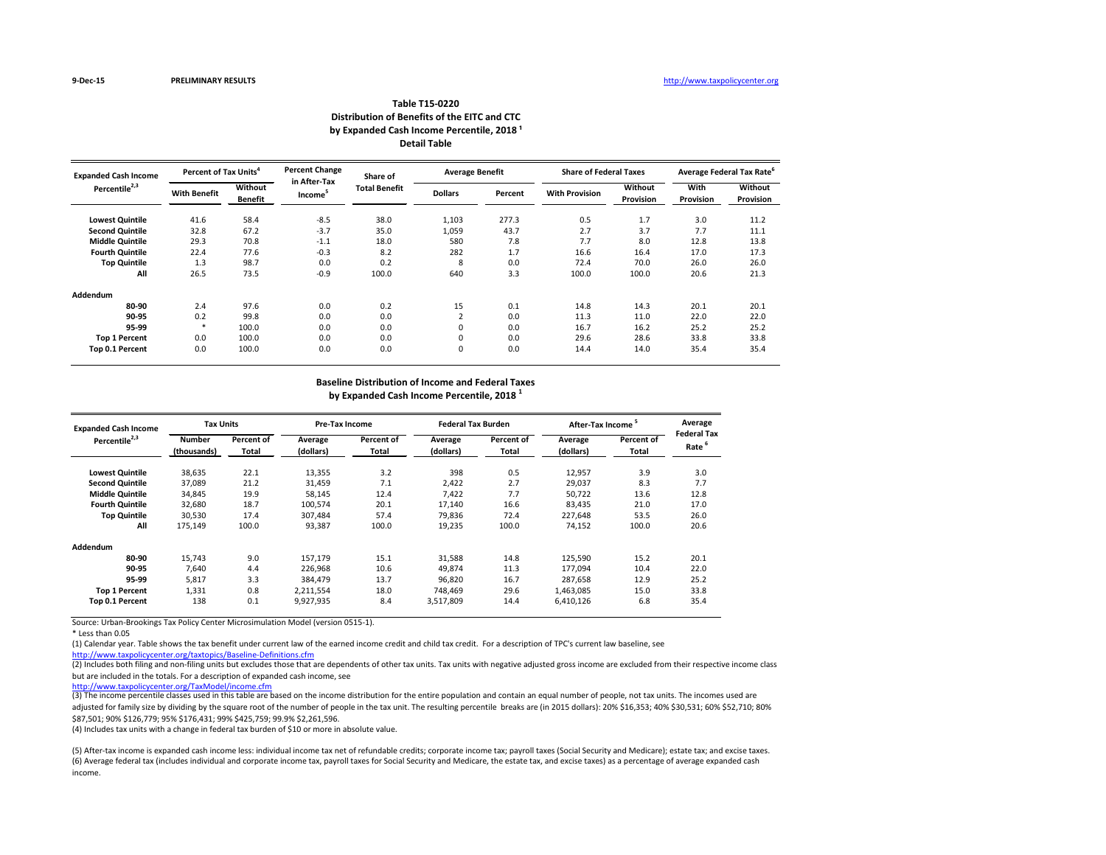## **Distribution of Benefits of the EITC and CTC Table T15-0220** by Expanded Cash Income Percentile, 2018<sup>1</sup> **Detail Table**

| <b>Expanded Cash Income</b> |                     | Percent of Tax Units <sup>4</sup> |                                     | Share of             | <b>Average Benefit</b> |         | <b>Share of Federal Taxes</b> |                      |                          | Average Federal Tax Rate <sup>6</sup> |
|-----------------------------|---------------------|-----------------------------------|-------------------------------------|----------------------|------------------------|---------|-------------------------------|----------------------|--------------------------|---------------------------------------|
| Percentile <sup>2,3</sup>   | <b>With Benefit</b> | Without<br><b>Benefit</b>         | in After-Tax<br>Income <sup>5</sup> | <b>Total Benefit</b> | <b>Dollars</b>         | Percent | <b>With Provision</b>         | Without<br>Provision | <b>With</b><br>Provision | Without<br>Provision                  |
| <b>Lowest Quintile</b>      | 41.6                | 58.4                              | $-8.5$                              | 38.0                 | 1,103                  | 277.3   | 0.5                           | 1.7                  | 3.0                      | 11.2                                  |
| <b>Second Quintile</b>      | 32.8                | 67.2                              | $-3.7$                              | 35.0                 | 1,059                  | 43.7    | 2.7                           | 3.7                  | 7.7                      | 11.1                                  |
| <b>Middle Quintile</b>      | 29.3                | 70.8                              | $-1.1$                              | 18.0                 | 580                    | 7.8     | 7.7                           | 8.0                  | 12.8                     | 13.8                                  |
| <b>Fourth Quintile</b>      | 22.4                | 77.6                              | $-0.3$                              | 8.2                  | 282                    | 1.7     | 16.6                          | 16.4                 | 17.0                     | 17.3                                  |
| <b>Top Quintile</b>         | 1.3                 | 98.7                              | 0.0                                 | 0.2                  | 8                      | 0.0     | 72.4                          | 70.0                 | 26.0                     | 26.0                                  |
| All                         | 26.5                | 73.5                              | $-0.9$                              | 100.0                | 640                    | 3.3     | 100.0                         | 100.0                | 20.6                     | 21.3                                  |
| <b>Addendum</b>             |                     |                                   |                                     |                      |                        |         |                               |                      |                          |                                       |
| 80-90                       | 2.4                 | 97.6                              | 0.0                                 | 0.2                  | 15                     | 0.1     | 14.8                          | 14.3                 | 20.1                     | 20.1                                  |
| 90-95                       | 0.2                 | 99.8                              | 0.0                                 | 0.0                  | $\overline{2}$         | 0.0     | 11.3                          | 11.0                 | 22.0                     | 22.0                                  |
| 95-99                       | $\ast$              | 100.0                             | 0.0                                 | 0.0                  | 0                      | 0.0     | 16.7                          | 16.2                 | 25.2                     | 25.2                                  |
| <b>Top 1 Percent</b>        | 0.0                 | 100.0                             | 0.0                                 | 0.0                  | 0                      | 0.0     | 29.6                          | 28.6                 | 33.8                     | 33.8                                  |
| Top 0.1 Percent             | 0.0                 | 100.0                             | 0.0                                 | 0.0                  | 0                      | 0.0     | 14.4                          | 14.0                 | 35.4                     | 35.4                                  |

Source: Urban-Brookings Tax Policy Center Microsimulation Model (version 0515-1).

(2) Includes both filing and non-filing units but excludes those that are dependents of other tax units. Tax units with negative adjusted gross income are excluded from their respective income class but are included in the totals. For a description of expanded cash income, see

\* Less than 0.05

(3) The income percentile classes used in this table are based on the income distribution for the entire population and contain an equal number of people, not tax units. The incomes used are adjusted for family size by dividing by the square root of the number of people in the tax unit. The resulting percentile breaks are (in 2015 dollars): 20% \$16,353; 40% \$30,531; 60% \$52,710; 80% \$87,501; 90% \$126,779; 95% \$176,431; 99% \$425,759; 99.9% \$2,261,596.

<http://www.taxpolicycenter.org/taxtopics/Baseline-Definitions.cfm> (1) Calendar year. Table shows the tax benefit under current law of the earned income credit and child tax credit. For a description of TPC's current law baseline, see

(5) After-tax income is expanded cash income less: individual income tax net of refundable credits; corporate income tax; payroll taxes (Social Security and Medicare); estate tax; and excise taxes. (6) Average federal tax (includes individual and corporate income tax, payroll taxes for Social Security and Medicare, the estate tax, and excise taxes) as a percentage of average expanded cash income.

| <b>Expanded Cash Income</b> | <b>Tax Units</b>             |                     | <b>Pre-Tax Income</b> |                     | <b>Federal Tax Burden</b> |                     | After-Tax Income <sup>5</sup> |                     | Average                                 |
|-----------------------------|------------------------------|---------------------|-----------------------|---------------------|---------------------------|---------------------|-------------------------------|---------------------|-----------------------------------------|
| Percentile <sup>2,3</sup>   | <b>Number</b><br>(thousands) | Percent of<br>Total | Average<br>(dollars)  | Percent of<br>Total | Average<br>(dollars)      | Percent of<br>Total | Average<br>(dollars)          | Percent of<br>Total | <b>Federal Tax</b><br>Rate <sup>6</sup> |
| <b>Lowest Quintile</b>      | 38,635                       | 22.1                | 13,355                | 3.2                 | 398                       | 0.5                 | 12,957                        | 3.9                 | 3.0                                     |
| <b>Second Quintile</b>      | 37,089                       | 21.2                | 31,459                | 7.1                 | 2,422                     | 2.7                 | 29,037                        | 8.3                 | 7.7                                     |
| <b>Middle Quintile</b>      | 34,845                       | 19.9                | 58,145                | 12.4                | 7,422                     | 7.7                 | 50,722                        | 13.6                | 12.8                                    |
| <b>Fourth Quintile</b>      | 32,680                       | 18.7                | 100,574               | 20.1                | 17,140                    | 16.6                | 83,435                        | 21.0                | 17.0                                    |
| <b>Top Quintile</b>         | 30,530                       | 17.4                | 307,484               | 57.4                | 79,836                    | 72.4                | 227,648                       | 53.5                | 26.0                                    |
| All                         | 175,149                      | 100.0               | 93,387                | 100.0               | 19,235                    | 100.0               | 74,152                        | 100.0               | 20.6                                    |
| <b>Addendum</b>             |                              |                     |                       |                     |                           |                     |                               |                     |                                         |
| 80-90                       | 15,743                       | 9.0                 | 157,179               | 15.1                | 31,588                    | 14.8                | 125,590                       | 15.2                | 20.1                                    |
| 90-95                       | 7,640                        | 4.4                 | 226,968               | 10.6                | 49,874                    | 11.3                | 177,094                       | 10.4                | 22.0                                    |
| 95-99                       | 5,817                        | 3.3                 | 384,479               | 13.7                | 96,820                    | 16.7                | 287,658                       | 12.9                | 25.2                                    |
| <b>Top 1 Percent</b>        | 1,331                        | 0.8                 | 2,211,554             | 18.0                | 748.469                   | 29.6                | 1,463,085                     | 15.0                | 33.8                                    |
| Top 0.1 Percent             | 138                          | 0.1                 | 9,927,935             | 8.4                 | 3,517,809                 | 14.4                | 6,410,126                     | 6.8                 | 35.4                                    |

#### **Baseline Distribution of Income and Federal Taxes**

(4) Includes tax units with a change in federal tax burden of \$10 or more in absolute value.

<http://www.taxpolicycenter.org/TaxModel/income.cfm>

**by Expanded Cash Income Percentile, 2018 1**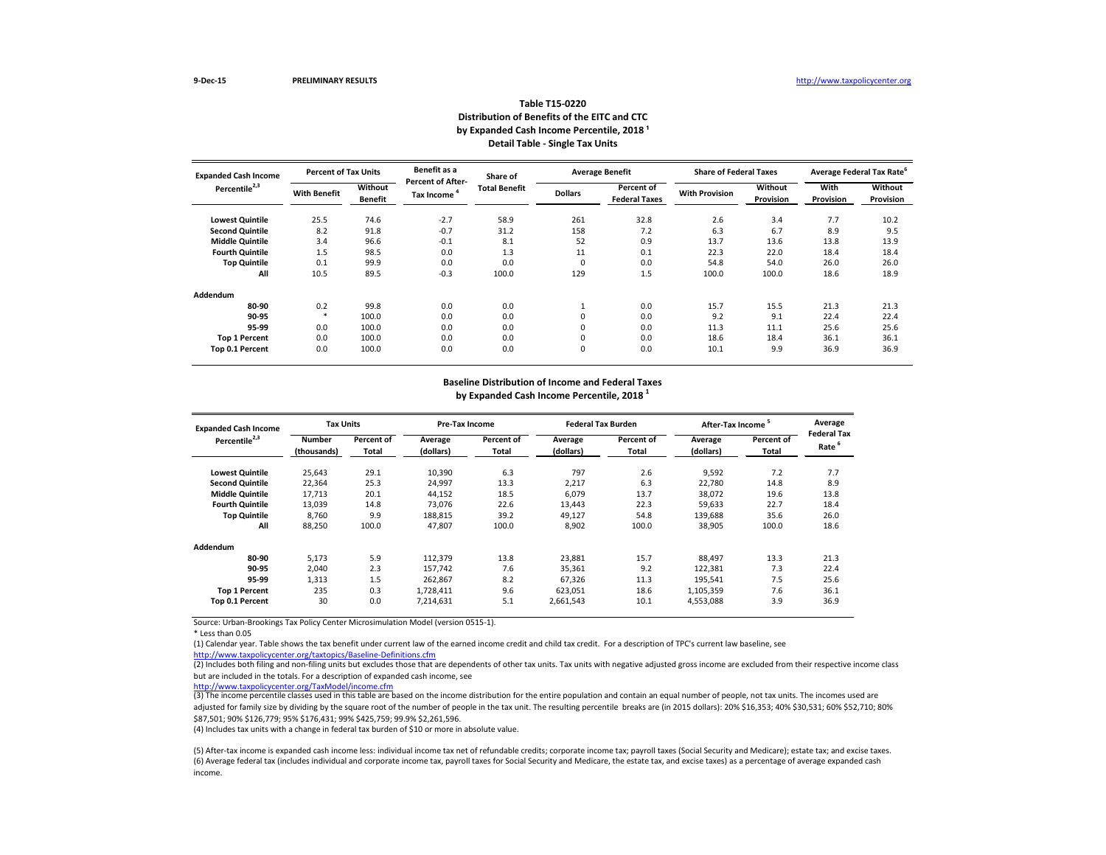| <b>Expanded Cash Income</b> | <b>Percent of Tax Units</b> |                           | Benefit as a                                  | Share of             |                | <b>Average Benefit</b>             | <b>Share of Federal Taxes</b> |                             | <b>Average Federal Tax Rate<sup>6</sup></b> |                             |
|-----------------------------|-----------------------------|---------------------------|-----------------------------------------------|----------------------|----------------|------------------------------------|-------------------------------|-----------------------------|---------------------------------------------|-----------------------------|
| Percentile <sup>2,3</sup>   | <b>With Benefit</b>         | Without<br><b>Benefit</b> | <b>Percent of After-</b><br><b>Tax Income</b> | <b>Total Benefit</b> | <b>Dollars</b> | Percent of<br><b>Federal Taxes</b> | <b>With Provision</b>         | Without<br><b>Provision</b> | With<br><b>Provision</b>                    | Without<br><b>Provision</b> |
| <b>Lowest Quintile</b>      | 25.5                        | 74.6                      | $-2.7$                                        | 58.9                 | 261            | 32.8                               | 2.6                           | 3.4                         | 7.7                                         | 10.2                        |
| <b>Second Quintile</b>      | 8.2                         | 91.8                      | $-0.7$                                        | 31.2                 | 158            | 7.2                                | 6.3                           | 6.7                         | 8.9                                         | 9.5                         |
| <b>Middle Quintile</b>      | 3.4                         | 96.6                      | $-0.1$                                        | 8.1                  | 52             | 0.9                                | 13.7                          | 13.6                        | 13.8                                        | 13.9                        |
| <b>Fourth Quintile</b>      | 1.5                         | 98.5                      | 0.0                                           | 1.3                  | 11             | 0.1                                | 22.3                          | 22.0                        | 18.4                                        | 18.4                        |
| <b>Top Quintile</b>         | 0.1                         | 99.9                      | 0.0                                           | 0.0                  | 0              | 0.0                                | 54.8                          | 54.0                        | 26.0                                        | 26.0                        |
| All                         | 10.5                        | 89.5                      | $-0.3$                                        | 100.0                | 129            | 1.5                                | 100.0                         | 100.0                       | 18.6                                        | 18.9                        |
| <b>Addendum</b>             |                             |                           |                                               |                      |                |                                    |                               |                             |                                             |                             |
| 80-90                       | 0.2                         | 99.8                      | 0.0                                           | 0.0                  |                | 0.0                                | 15.7                          | 15.5                        | 21.3                                        | 21.3                        |
| 90-95                       | $\ast$                      | 100.0                     | 0.0                                           | 0.0                  | 0              | 0.0                                | 9.2                           | 9.1                         | 22.4                                        | 22.4                        |
| 95-99                       | 0.0                         | 100.0                     | 0.0                                           | 0.0                  | 0              | 0.0                                | 11.3                          | 11.1                        | 25.6                                        | 25.6                        |
| <b>Top 1 Percent</b>        | 0.0                         | 100.0                     | 0.0                                           | 0.0                  | 0              | 0.0                                | 18.6                          | 18.4                        | 36.1                                        | 36.1                        |
| Top 0.1 Percent             | 0.0                         | 100.0                     | 0.0                                           | 0.0                  | 0              | 0.0                                | 10.1                          | 9.9                         | 36.9                                        | 36.9                        |

\* Less than 0.05

(2) Includes both filing and non-filing units but excludes those that are dependents of other tax units. Tax units with negative adjusted gross income are excluded from their respective income class but are included in the totals. For a description of expanded cash income, see

| <b>Expanded Cash Income</b> | <b>Tax Units</b>             |                            | <b>Pre-Tax Income</b> |                            |                      | <b>Federal Tax Burden</b>         | After-Tax Income     |                     | Average                    |
|-----------------------------|------------------------------|----------------------------|-----------------------|----------------------------|----------------------|-----------------------------------|----------------------|---------------------|----------------------------|
| Percentile <sup>2,3</sup>   | <b>Number</b><br>(thousands) | Percent of<br><b>Total</b> | Average<br>(dollars)  | Percent of<br><b>Total</b> | Average<br>(dollars) | <b>Percent of</b><br><b>Total</b> | Average<br>(dollars) | Percent of<br>Total | <b>Federal Tax</b><br>Rate |
| <b>Lowest Quintile</b>      | 25,643                       | 29.1                       | 10,390                | 6.3                        | 797                  | 2.6                               | 9,592                | 7.2                 | 7.7                        |
| <b>Second Quintile</b>      | 22,364                       | 25.3                       | 24,997                | 13.3                       | 2,217                | 6.3                               | 22,780               | 14.8                | 8.9                        |
| <b>Middle Quintile</b>      | 17,713                       | 20.1                       | 44,152                | 18.5                       | 6,079                | 13.7                              | 38,072               | 19.6                | 13.8                       |
| <b>Fourth Quintile</b>      | 13,039                       | 14.8                       | 73,076                | 22.6                       | 13,443               | 22.3                              | 59,633               | 22.7                | 18.4                       |
| <b>Top Quintile</b>         | 8,760                        | 9.9                        | 188,815               | 39.2                       | 49,127               | 54.8                              | 139,688              | 35.6                | 26.0                       |
| All                         | 88,250                       | 100.0                      | 47,807                | 100.0                      | 8,902                | 100.0                             | 38,905               | 100.0               | 18.6                       |
| Addendum                    |                              |                            |                       |                            |                      |                                   |                      |                     |                            |
| 80-90                       | 5,173                        | 5.9                        | 112,379               | 13.8                       | 23,881               | 15.7                              | 88,497               | 13.3                | 21.3                       |
| 90-95                       | 2,040                        | 2.3                        | 157,742               | 7.6                        | 35,361               | 9.2                               | 122,381              | 7.3                 | 22.4                       |
| 95-99                       | 1,313                        | 1.5                        | 262,867               | 8.2                        | 67,326               | 11.3                              | 195,541              | 7.5                 | 25.6                       |
| <b>Top 1 Percent</b>        | 235                          | 0.3                        | 1,728,411             | 9.6                        | 623,051              | 18.6                              | 1,105,359            | 7.6                 | 36.1                       |
| Top 0.1 Percent             | 30                           | 0.0                        | 7,214,631             | 5.1                        | 2,661,543            | 10.1                              | 4,553,088            | 3.9                 | 36.9                       |

# **Table T15-0220 Distribution of Benefits of the EITC and CTC** by Expanded Cash Income Percentile, 2018<sup>1</sup> **Detail Table - Single Tax Units**

(3) The income percentile classes used in this table are based on the income distribution for the entire population and contain an equal number of people, not tax units. The incomes used are adjusted for family size by dividing by the square root of the number of people in the tax unit. The resulting percentile breaks are (in 2015 dollars): 20% \$16,353; 40% \$30,531; 60% \$52,710; 80% \$87,501; 90% \$126,779; 95% \$176,431; 99% \$425,759; 99.9% \$2,261,596.

### **Baseline Distribution of Income and Federal Taxes by Expanded Cash Income Percentile, 2018 1**

<http://www.taxpolicycenter.org/taxtopics/Baseline-Definitions.cfm> (1) Calendar year. Table shows the tax benefit under current law of the earned income credit and child tax credit. For a description of TPC's current law baseline, see

(6) Average federal tax (includes individual and corporate income tax, payroll taxes for Social Security and Medicare, the estate tax, and excise taxes) as a percentage of average expanded cash income. (5) After-tax income is expanded cash income less: individual income tax net of refundable credits; corporate income tax; payroll taxes (Social Security and Medicare); estate tax; and excise taxes.

<http://www.taxpolicycenter.org/TaxModel/income.cfm>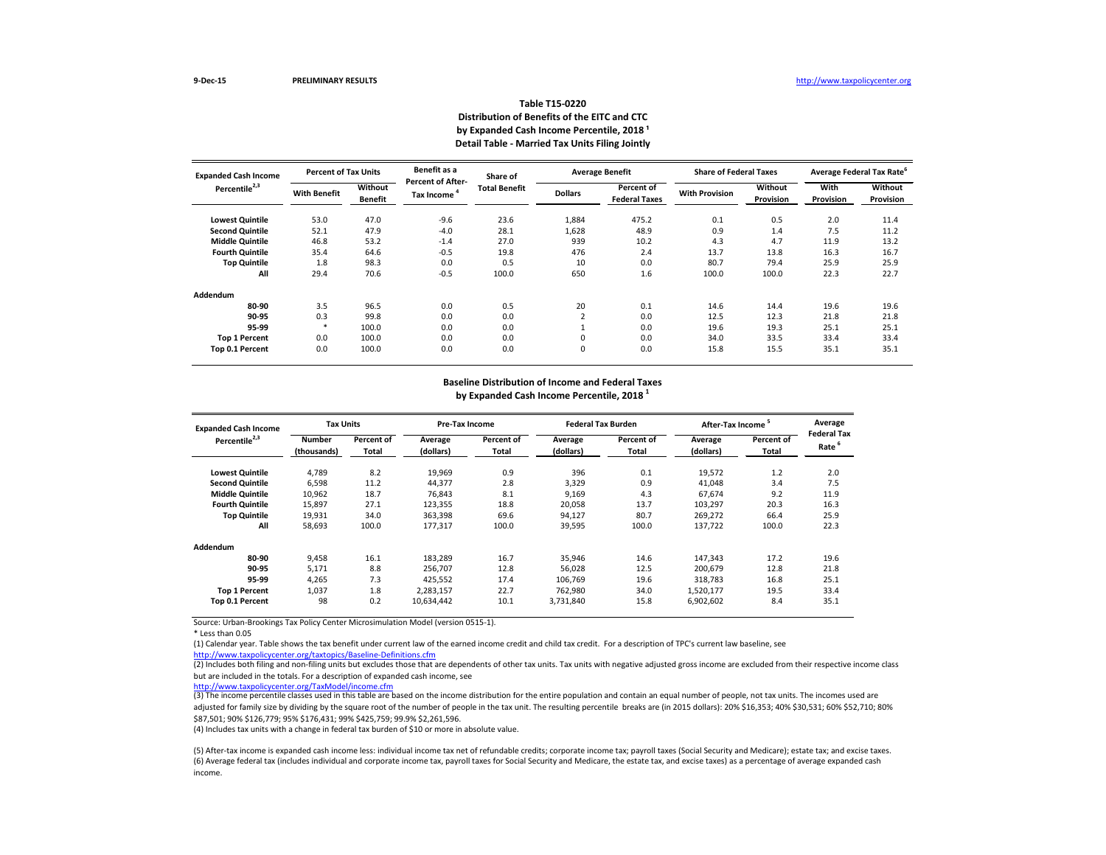| <b>Expanded Cash Income</b> | <b>Percent of Tax Units</b> |                                  | Benefit as a                                  | Share of             |                | <b>Average Benefit</b>                    | <b>Share of Federal Taxes</b> |                             |                          | <b>Average Federal Tax Rate<sup>6</sup></b> |
|-----------------------------|-----------------------------|----------------------------------|-----------------------------------------------|----------------------|----------------|-------------------------------------------|-------------------------------|-----------------------------|--------------------------|---------------------------------------------|
| Percentile <sup>2,3</sup>   | <b>With Benefit</b>         | <b>Without</b><br><b>Benefit</b> | <b>Percent of After-</b><br><b>Tax Income</b> | <b>Total Benefit</b> | <b>Dollars</b> | <b>Percent of</b><br><b>Federal Taxes</b> | <b>With Provision</b>         | Without<br><b>Provision</b> | With<br><b>Provision</b> | Without<br><b>Provision</b>                 |
| <b>Lowest Quintile</b>      | 53.0                        | 47.0                             | $-9.6$                                        | 23.6                 | 1,884          | 475.2                                     | 0.1                           | 0.5                         | 2.0                      | 11.4                                        |
| <b>Second Quintile</b>      | 52.1                        | 47.9                             | $-4.0$                                        | 28.1                 | 1,628          | 48.9                                      | 0.9                           | 1.4                         | 7.5                      | 11.2                                        |
| <b>Middle Quintile</b>      | 46.8                        | 53.2                             | $-1.4$                                        | 27.0                 | 939            | 10.2                                      | 4.3                           | 4.7                         | 11.9                     | 13.2                                        |
| <b>Fourth Quintile</b>      | 35.4                        | 64.6                             | $-0.5$                                        | 19.8                 | 476            | 2.4                                       | 13.7                          | 13.8                        | 16.3                     | 16.7                                        |
| <b>Top Quintile</b>         | 1.8                         | 98.3                             | 0.0                                           | 0.5                  | 10             | 0.0                                       | 80.7                          | 79.4                        | 25.9                     | 25.9                                        |
| All                         | 29.4                        | 70.6                             | $-0.5$                                        | 100.0                | 650            | 1.6                                       | 100.0                         | 100.0                       | 22.3                     | 22.7                                        |
| <b>Addendum</b>             |                             |                                  |                                               |                      |                |                                           |                               |                             |                          |                                             |
| 80-90                       | 3.5                         | 96.5                             | 0.0                                           | 0.5                  | 20             | 0.1                                       | 14.6                          | 14.4                        | 19.6                     | 19.6                                        |
| 90-95                       | 0.3                         | 99.8                             | 0.0                                           | 0.0                  | $\overline{2}$ | 0.0                                       | 12.5                          | 12.3                        | 21.8                     | 21.8                                        |
| 95-99                       | $\ast$                      | 100.0                            | 0.0                                           | 0.0                  |                | 0.0                                       | 19.6                          | 19.3                        | 25.1                     | 25.1                                        |
| <b>Top 1 Percent</b>        | 0.0                         | 100.0                            | 0.0                                           | 0.0                  | 0              | 0.0                                       | 34.0                          | 33.5                        | 33.4                     | 33.4                                        |
| Top 0.1 Percent             | 0.0                         | 100.0                            | 0.0                                           | 0.0                  | 0              | 0.0                                       | 15.8                          | 15.5                        | 35.1                     | 35.1                                        |

\* Less than 0.05

(2) Includes both filing and non-filing units but excludes those that are dependents of other tax units. Tax units with negative adjusted gross income are excluded from their respective income class but are included in the totals. For a description of expanded cash income, see

| <b>Expanded Cash Income</b> | <b>Tax Units</b> |              | <b>Pre-Tax Income</b> |              | <b>Federal Tax Burden</b> |              | After-Tax Income <sup>5</sup> |            | Average            |
|-----------------------------|------------------|--------------|-----------------------|--------------|---------------------------|--------------|-------------------------------|------------|--------------------|
| Percentile <sup>2,3</sup>   | <b>Number</b>    | Percent of   | Average               | Percent of   | Average                   | Percent of   | Average                       | Percent of | <b>Federal Tax</b> |
|                             | (thousands)      | <b>Total</b> | (dollars)             | <b>Total</b> | (dollars)                 | <b>Total</b> | (dollars)                     | Total      | Rate <sup>6</sup>  |
| <b>Lowest Quintile</b>      | 4,789            | 8.2          | 19,969                | 0.9          | 396                       | 0.1          | 19,572                        | 1.2        | 2.0                |
| <b>Second Quintile</b>      | 6,598            | 11.2         | 44,377                | 2.8          | 3,329                     | 0.9          | 41,048                        | 3.4        | 7.5                |
| <b>Middle Quintile</b>      | 10,962           | 18.7         | 76,843                | 8.1          | 9,169                     | 4.3          | 67,674                        | 9.2        | 11.9               |
| <b>Fourth Quintile</b>      | 15,897           | 27.1         | 123,355               | 18.8         | 20,058                    | 13.7         | 103,297                       | 20.3       | 16.3               |
| <b>Top Quintile</b>         | 19,931           | 34.0         | 363,398               | 69.6         | 94,127                    | 80.7         | 269,272                       | 66.4       | 25.9               |
| All                         | 58,693           | 100.0        | 177,317               | 100.0        | 39,595                    | 100.0        | 137,722                       | 100.0      | 22.3               |
| Addendum                    |                  |              |                       |              |                           |              |                               |            |                    |
| 80-90                       | 9,458            | 16.1         | 183,289               | 16.7         | 35,946                    | 14.6         | 147,343                       | 17.2       | 19.6               |
| 90-95                       | 5,171            | 8.8          | 256,707               | 12.8         | 56,028                    | 12.5         | 200,679                       | 12.8       | 21.8               |
| 95-99                       | 4,265            | 7.3          | 425,552               | 17.4         | 106,769                   | 19.6         | 318,783                       | 16.8       | 25.1               |
| <b>Top 1 Percent</b>        | 1,037            | 1.8          | 2,283,157             | 22.7         | 762,980                   | 34.0         | 1,520,177                     | 19.5       | 33.4               |
| Top 0.1 Percent             | 98               | 0.2          | 10,634,442            | 10.1         | 3,731,840                 | 15.8         | 6,902,602                     | 8.4        | 35.1               |

# **Table T15-0220 Distribution of Benefits of the EITC and CTC** by Expanded Cash Income Percentile, 2018<sup>1</sup> **Detail Table - Married Tax Units Filing Jointly**

(3) The income percentile classes used in this table are based on the income distribution for the entire population and contain an equal number of people, not tax units. The incomes used are adjusted for family size by dividing by the square root of the number of people in the tax unit. The resulting percentile breaks are (in 2015 dollars): 20% \$16,353; 40% \$30,531; 60% \$52,710; 80% \$87,501; 90% \$126,779; 95% \$176,431; 99% \$425,759; 99.9% \$2,261,596.

### **Baseline Distribution of Income and Federal Taxes by Expanded Cash Income Percentile, 2018 1**

<http://www.taxpolicycenter.org/taxtopics/Baseline-Definitions.cfm> (1) Calendar year. Table shows the tax benefit under current law of the earned income credit and child tax credit. For a description of TPC's current law baseline, see

(6) Average federal tax (includes individual and corporate income tax, payroll taxes for Social Security and Medicare, the estate tax, and excise taxes) as a percentage of average expanded cash income. (5) After-tax income is expanded cash income less: individual income tax net of refundable credits; corporate income tax; payroll taxes (Social Security and Medicare); estate tax; and excise taxes.

<http://www.taxpolicycenter.org/TaxModel/income.cfm>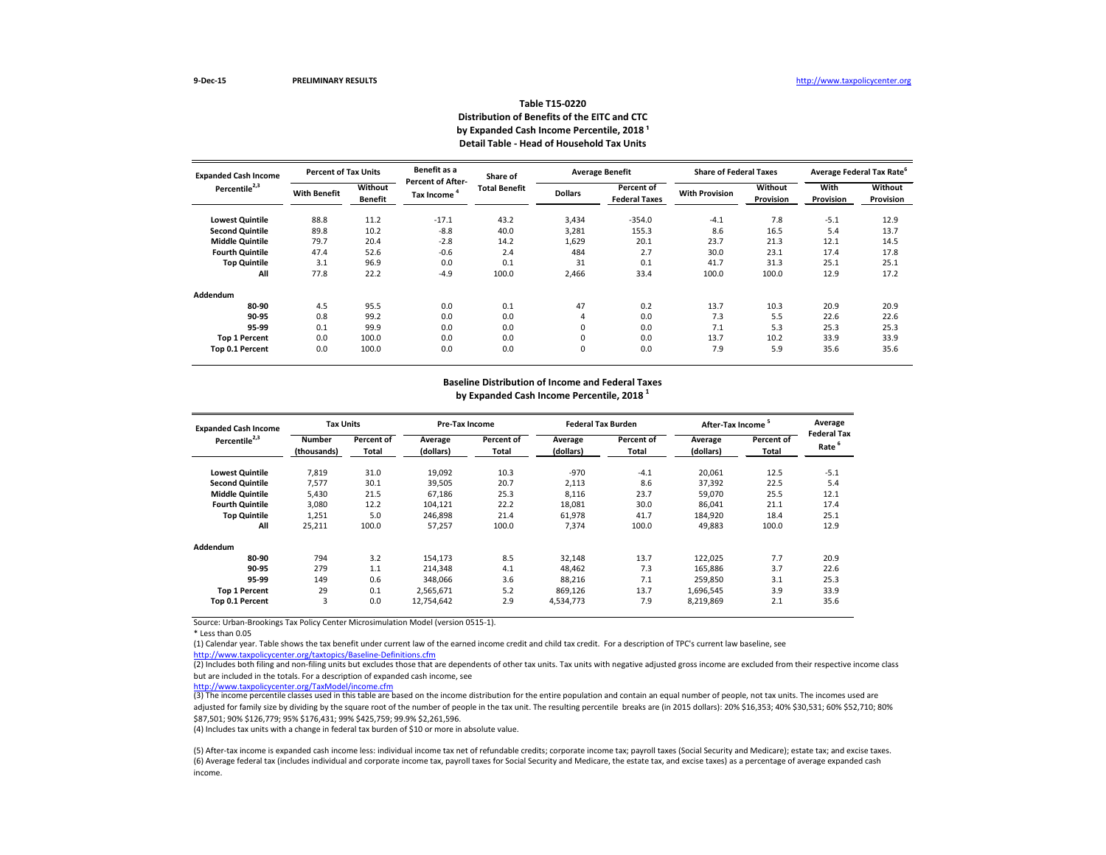| <b>Expanded Cash Income</b> | <b>Percent of Tax Units</b> |                                  | Benefit as a                           | Share of             |                | <b>Average Benefit</b>             | <b>Share of Federal Taxes</b> |                      |                          | <b>Average Federal Tax Rate<sup>o</sup></b> |
|-----------------------------|-----------------------------|----------------------------------|----------------------------------------|----------------------|----------------|------------------------------------|-------------------------------|----------------------|--------------------------|---------------------------------------------|
| Percentile <sup>2,3</sup>   | <b>With Benefit</b>         | <b>Without</b><br><b>Benefit</b> | <b>Percent of After-</b><br>Tax Income | <b>Total Benefit</b> | <b>Dollars</b> | Percent of<br><b>Federal Taxes</b> | <b>With Provision</b>         | Without<br>Provision | With<br><b>Provision</b> | Without<br><b>Provision</b>                 |
| <b>Lowest Quintile</b>      | 88.8                        | 11.2                             | $-17.1$                                | 43.2                 | 3,434          | $-354.0$                           | $-4.1$                        | 7.8                  | $-5.1$                   | 12.9                                        |
| <b>Second Quintile</b>      | 89.8                        | 10.2                             | $-8.8$                                 | 40.0                 | 3,281          | 155.3                              | 8.6                           | 16.5                 | 5.4                      | 13.7                                        |
| <b>Middle Quintile</b>      | 79.7                        | 20.4                             | $-2.8$                                 | 14.2                 | 1,629          | 20.1                               | 23.7                          | 21.3                 | 12.1                     | 14.5                                        |
| <b>Fourth Quintile</b>      | 47.4                        | 52.6                             | $-0.6$                                 | 2.4                  | 484            | 2.7                                | 30.0                          | 23.1                 | 17.4                     | 17.8                                        |
| <b>Top Quintile</b>         | 3.1                         | 96.9                             | 0.0                                    | 0.1                  | 31             | 0.1                                | 41.7                          | 31.3                 | 25.1                     | 25.1                                        |
| All                         | 77.8                        | 22.2                             | $-4.9$                                 | 100.0                | 2,466          | 33.4                               | 100.0                         | 100.0                | 12.9                     | 17.2                                        |
| Addendum                    |                             |                                  |                                        |                      |                |                                    |                               |                      |                          |                                             |
| 80-90                       | 4.5                         | 95.5                             | 0.0                                    | 0.1                  | 47             | 0.2                                | 13.7                          | 10.3                 | 20.9                     | 20.9                                        |
| 90-95                       | 0.8                         | 99.2                             | 0.0                                    | 0.0                  | 4              | 0.0                                | 7.3                           | 5.5                  | 22.6                     | 22.6                                        |
| 95-99                       | 0.1                         | 99.9                             | 0.0                                    | 0.0                  | 0              | 0.0                                | 7.1                           | 5.3                  | 25.3                     | 25.3                                        |
| <b>Top 1 Percent</b>        | 0.0                         | 100.0                            | 0.0                                    | 0.0                  | 0              | 0.0                                | 13.7                          | 10.2                 | 33.9                     | 33.9                                        |
| <b>Top 0.1 Percent</b>      | 0.0                         | 100.0                            | 0.0                                    | 0.0                  | 0              | 0.0                                | 7.9                           | 5.9                  | 35.6                     | 35.6                                        |

\* Less than 0.05

(2) Includes both filing and non-filing units but excludes those that are dependents of other tax units. Tax units with negative adjusted gross income are excluded from their respective income class but are included in the totals. For a description of expanded cash income, see

| <b>Expanded Cash Income</b> | <b>Tax Units</b> |              |            | <b>Pre-Tax Income</b> |           | <b>Federal Tax Burden</b> | After-Tax Income <sup>5</sup> |            | Average                                 |
|-----------------------------|------------------|--------------|------------|-----------------------|-----------|---------------------------|-------------------------------|------------|-----------------------------------------|
| Percentile <sup>2,3</sup>   | <b>Number</b>    | Percent of   | Average    | Percent of            | Average   | Percent of                | Average                       | Percent of | <b>Federal Tax</b><br>Rate <sup>6</sup> |
|                             | (thousands)      | <b>Total</b> | (dollars)  | <b>Total</b>          | (dollars) | <b>Total</b>              | (dollars)                     | Total      |                                         |
| <b>Lowest Quintile</b>      | 7,819            | 31.0         | 19,092     | 10.3                  | $-970$    | $-4.1$                    | 20,061                        | 12.5       | $-5.1$                                  |
| <b>Second Quintile</b>      | 7,577            | 30.1         | 39,505     | 20.7                  | 2,113     | 8.6                       | 37,392                        | 22.5       | 5.4                                     |
| <b>Middle Quintile</b>      | 5,430            | 21.5         | 67,186     | 25.3                  | 8,116     | 23.7                      | 59,070                        | 25.5       | 12.1                                    |
| <b>Fourth Quintile</b>      | 3,080            | 12.2         | 104,121    | 22.2                  | 18,081    | 30.0                      | 86,041                        | 21.1       | 17.4                                    |
| <b>Top Quintile</b>         | 1,251            | 5.0          | 246,898    | 21.4                  | 61,978    | 41.7                      | 184,920                       | 18.4       | 25.1                                    |
| All                         | 25,211           | 100.0        | 57,257     | 100.0                 | 7,374     | 100.0                     | 49,883                        | 100.0      | 12.9                                    |
| Addendum                    |                  |              |            |                       |           |                           |                               |            |                                         |
| 80-90                       | 794              | 3.2          | 154,173    | 8.5                   | 32,148    | 13.7                      | 122,025                       | 7.7        | 20.9                                    |
| 90-95                       | 279              | 1.1          | 214,348    | 4.1                   | 48,462    | 7.3                       | 165,886                       | 3.7        | 22.6                                    |
| 95-99                       | 149              | 0.6          | 348,066    | 3.6                   | 88,216    | 7.1                       | 259,850                       | 3.1        | 25.3                                    |
| <b>Top 1 Percent</b>        | 29               | 0.1          | 2,565,671  | 5.2                   | 869,126   | 13.7                      | 1,696,545                     | 3.9        | 33.9                                    |
| Top 0.1 Percent             | 3                | 0.0          | 12,754,642 | 2.9                   | 4,534,773 | 7.9                       | 8,219,869                     | 2.1        | 35.6                                    |

# **Table T15-0220 Distribution of Benefits of the EITC and CTC** by Expanded Cash Income Percentile, 2018<sup>1</sup> **Detail Table - Head of Household Tax Units**

(3) The income percentile classes used in this table are based on the income distribution for the entire population and contain an equal number of people, not tax units. The incomes used are adjusted for family size by dividing by the square root of the number of people in the tax unit. The resulting percentile breaks are (in 2015 dollars): 20% \$16,353; 40% \$30,531; 60% \$52,710; 80% \$87,501; 90% \$126,779; 95% \$176,431; 99% \$425,759; 99.9% \$2,261,596.

### **Baseline Distribution of Income and Federal Taxes by Expanded Cash Income Percentile, 2018 1**

<http://www.taxpolicycenter.org/taxtopics/Baseline-Definitions.cfm> (1) Calendar year. Table shows the tax benefit under current law of the earned income credit and child tax credit. For a description of TPC's current law baseline, see

(6) Average federal tax (includes individual and corporate income tax, payroll taxes for Social Security and Medicare, the estate tax, and excise taxes) as a percentage of average expanded cash income. (5) After-tax income is expanded cash income less: individual income tax net of refundable credits; corporate income tax; payroll taxes (Social Security and Medicare); estate tax; and excise taxes.

<http://www.taxpolicycenter.org/TaxModel/income.cfm>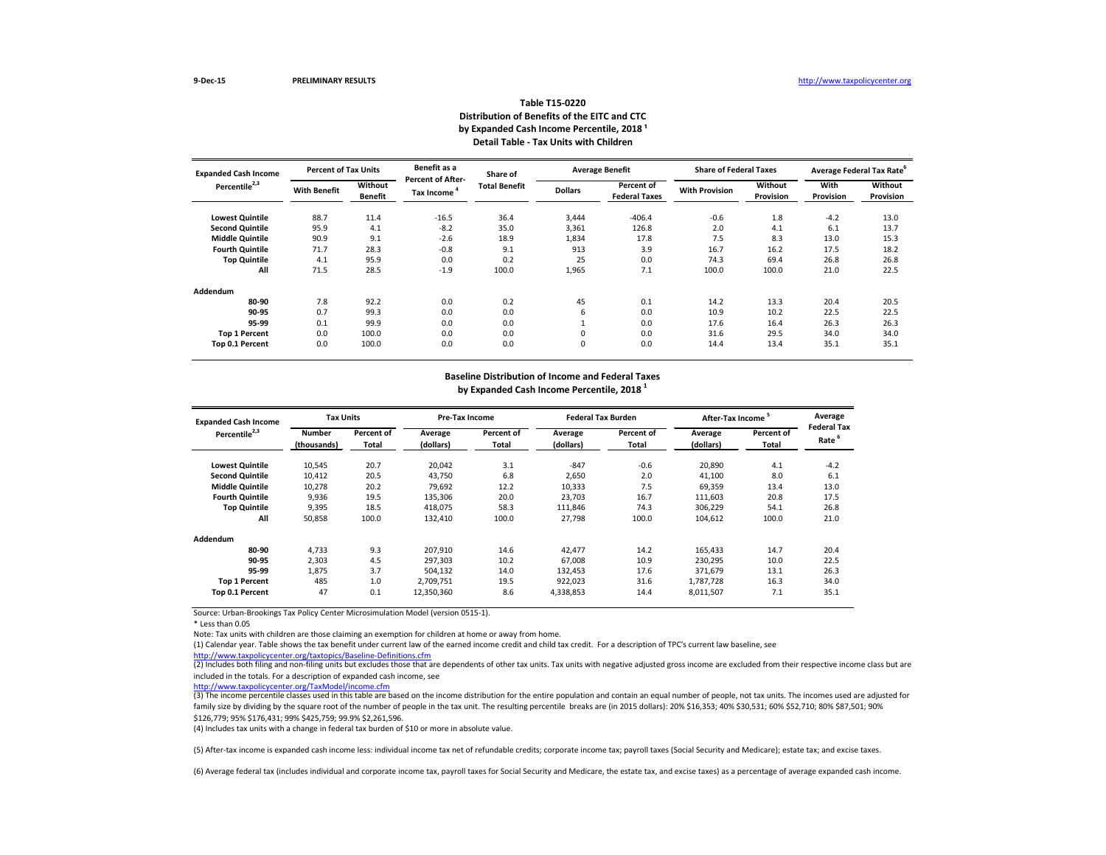| <b>Expanded Cash Income</b> | <b>Percent of Tax Units</b> |                                  | Benefit as a                           | Share of             |                | <b>Average Benefit</b>                    | <b>Share of Federal Taxes</b> |                      |                   | Average Federal Tax Rate <sup>6</sup> |
|-----------------------------|-----------------------------|----------------------------------|----------------------------------------|----------------------|----------------|-------------------------------------------|-------------------------------|----------------------|-------------------|---------------------------------------|
| Percentile <sup>2,3</sup>   | <b>With Benefit</b>         | <b>Without</b><br><b>Benefit</b> | <b>Percent of After-</b><br>Tax Income | <b>Total Benefit</b> | <b>Dollars</b> | <b>Percent of</b><br><b>Federal Taxes</b> | <b>With Provision</b>         | Without<br>Provision | With<br>Provision | Without<br>Provision                  |
| <b>Lowest Quintile</b>      | 88.7                        | 11.4                             | $-16.5$                                | 36.4                 | 3,444          | $-406.4$                                  | $-0.6$                        | 1.8                  | $-4.2$            | 13.0                                  |
| <b>Second Quintile</b>      | 95.9                        | 4.1                              | $-8.2$                                 | 35.0                 | 3,361          | 126.8                                     | 2.0                           | 4.1                  | 6.1               | 13.7                                  |
| <b>Middle Quintile</b>      | 90.9                        | 9.1                              | $-2.6$                                 | 18.9                 | 1,834          | 17.8                                      | 7.5                           | 8.3                  | 13.0              | 15.3                                  |
| <b>Fourth Quintile</b>      | 71.7                        | 28.3                             | $-0.8$                                 | 9.1                  | 913            | 3.9                                       | 16.7                          | 16.2                 | 17.5              | 18.2                                  |
| <b>Top Quintile</b>         | 4.1                         | 95.9                             | 0.0                                    | 0.2                  | 25             | 0.0                                       | 74.3                          | 69.4                 | 26.8              | 26.8                                  |
| All                         | 71.5                        | 28.5                             | $-1.9$                                 | 100.0                | 1,965          | 7.1                                       | 100.0                         | 100.0                | 21.0              | 22.5                                  |
| <b>Addendum</b>             |                             |                                  |                                        |                      |                |                                           |                               |                      |                   |                                       |
| 80-90                       | 7.8                         | 92.2                             | 0.0                                    | 0.2                  | 45             | 0.1                                       | 14.2                          | 13.3                 | 20.4              | 20.5                                  |
| 90-95                       | 0.7                         | 99.3                             | 0.0                                    | 0.0                  | 6              | 0.0                                       | 10.9                          | 10.2                 | 22.5              | 22.5                                  |
| 95-99                       | 0.1                         | 99.9                             | 0.0                                    | 0.0                  |                | 0.0                                       | 17.6                          | 16.4                 | 26.3              | 26.3                                  |
| <b>Top 1 Percent</b>        | 0.0                         | 100.0                            | 0.0                                    | 0.0                  | 0              | 0.0                                       | 31.6                          | 29.5                 | 34.0              | 34.0                                  |
| Top 0.1 Percent             | 0.0                         | 100.0                            | 0.0                                    | 0.0                  | 0              | 0.0                                       | 14.4                          | 13.4                 | 35.1              | 35.1                                  |

\* Less than 0.05

Note: Tax units with children are those claiming an exemption for children at home or away from home.

(2) Includes both filing and non-filing units but excludes those that are dependents of other tax units. Tax units with negative adjusted gross income are excluded from their respective income class but are included in the totals. For a description of expanded cash income, see

| <b>Expanded Cash Income</b> | <b>Tax Units</b> |              | <b>Pre-Tax Income</b> |            |           | <b>Federal Tax Burden</b> | After-Tax Income <sup>5</sup> |            | Average            |
|-----------------------------|------------------|--------------|-----------------------|------------|-----------|---------------------------|-------------------------------|------------|--------------------|
| Percentile <sup>2,3</sup>   | <b>Number</b>    | Percent of   | Average               | Percent of | Average   | <b>Percent of</b>         | Average                       | Percent of | <b>Federal Tax</b> |
|                             | (thousands)      | <b>Total</b> | (dollars)             | Total      | (dollars) | Total                     | (dollars)                     | Total      | Rate <sup>6</sup>  |
| <b>Lowest Quintile</b>      | 10,545           | 20.7         | 20,042                | 3.1        | $-847$    | $-0.6$                    | 20,890                        | 4.1        | $-4.2$             |
| <b>Second Quintile</b>      | 10,412           | 20.5         | 43,750                | 6.8        | 2,650     | 2.0                       | 41,100                        | 8.0        | 6.1                |
| <b>Middle Quintile</b>      | 10,278           | 20.2         | 79,692                | 12.2       | 10,333    | 7.5                       | 69,359                        | 13.4       | 13.0               |
| <b>Fourth Quintile</b>      | 9,936            | 19.5         | 135,306               | 20.0       | 23,703    | 16.7                      | 111,603                       | 20.8       | 17.5               |
| <b>Top Quintile</b>         | 9,395            | 18.5         | 418,075               | 58.3       | 111,846   | 74.3                      | 306,229                       | 54.1       | 26.8               |
| All                         | 50,858           | 100.0        | 132,410               | 100.0      | 27,798    | 100.0                     | 104,612                       | 100.0      | 21.0               |
| <b>Addendum</b>             |                  |              |                       |            |           |                           |                               |            |                    |
| 80-90                       | 4,733            | 9.3          | 207,910               | 14.6       | 42,477    | 14.2                      | 165,433                       | 14.7       | 20.4               |
| 90-95                       | 2,303            | 4.5          | 297,303               | 10.2       | 67,008    | 10.9                      | 230,295                       | 10.0       | 22.5               |
| 95-99                       | 1,875            | 3.7          | 504,132               | 14.0       | 132,453   | 17.6                      | 371,679                       | 13.1       | 26.3               |
| <b>Top 1 Percent</b>        | 485              | 1.0          | 2,709,751             | 19.5       | 922,023   | 31.6                      | 1,787,728                     | 16.3       | 34.0               |
| Top 0.1 Percent             | 47               | 0.1          | 12,350,360            | 8.6        | 4,338,853 | 14.4                      | 8,011,507                     | 7.1        | 35.1               |

# **Table T15-0220 Distribution of Benefits of the EITC and CTC** by Expanded Cash Income Percentile, 2018<sup>1</sup> **Detail Table - Tax Units with Children**

(3) The income percentile classes used in this table are based on the income distribution for the entire population and contain an equal number of people, not tax units. The incomes used are adjusted for family size by dividing by the square root of the number of people in the tax unit. The resulting percentile breaks are (in 2015 dollars): 20% \$16,353; 40% \$30,531; 60% \$52,710; 80% \$87,501; 90% \$126,779; 95% \$176,431; 99% \$425,759; 99.9% \$2,261,596.

## **Baseline Distribution of Income and Federal Taxes by Expanded Cash Income Percentile, 2018 1**

<http://www.taxpolicycenter.org/taxtopics/Baseline-Definitions.cfm> (1) Calendar year. Table shows the tax benefit under current law of the earned income credit and child tax credit. For a description of TPC's current law baseline, see

(6) Average federal tax (includes individual and corporate income tax, payroll taxes for Social Security and Medicare, the estate tax, and excise taxes) as a percentage of average expanded cash income.

<http://www.taxpolicycenter.org/TaxModel/income.cfm>

(4) Includes tax units with a change in federal tax burden of \$10 or more in absolute value.

(5) After-tax income is expanded cash income less: individual income tax net of refundable credits; corporate income tax; payroll taxes (Social Security and Medicare); estate tax; and excise taxes.